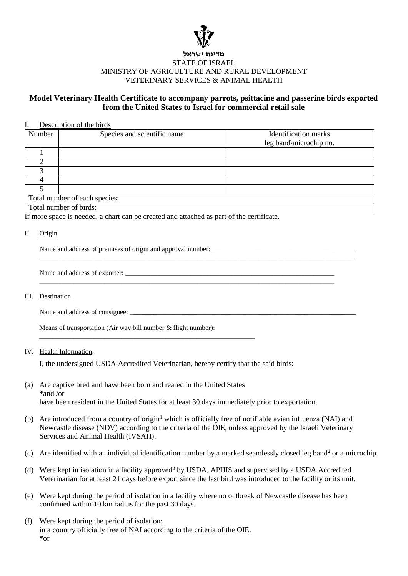

# **מדינת ישראל** STATE OF ISRAEL MINISTRY OF AGRICULTURE AND RURAL DEVELOPMENT VETERINARY SERVICES & ANIMAL HEALTH

# **Model Veterinary Health Certificate to accompany parrots, psittacine and passerine birds exported from the United States to Israel for commercial retail sale**

## I. Description of the birds

| Number                        | Species and scientific name | <b>Identification</b> marks<br>leg band\microchip no. |
|-------------------------------|-----------------------------|-------------------------------------------------------|
|                               |                             |                                                       |
|                               |                             |                                                       |
|                               |                             |                                                       |
|                               |                             |                                                       |
|                               |                             |                                                       |
| Total number of each species: |                             |                                                       |
| Total number of birds:        |                             |                                                       |

\_\_\_\_\_\_\_\_\_\_\_\_\_\_\_\_\_\_\_\_\_\_\_\_\_\_\_\_\_\_\_\_\_\_\_\_\_\_\_\_\_\_\_\_\_\_\_\_\_\_\_\_\_\_\_\_\_\_\_\_\_\_\_\_\_\_\_\_\_\_\_\_\_\_\_\_\_\_\_\_\_\_\_\_\_\_\_\_\_\_\_\_

\_\_\_\_\_\_\_\_\_\_\_\_\_\_\_\_\_\_\_\_\_\_\_\_\_\_\_\_\_\_\_\_\_\_\_\_\_\_\_\_\_\_\_\_\_\_\_\_\_\_\_\_\_\_\_\_\_\_\_\_\_\_\_\_\_\_\_\_\_\_\_\_\_\_\_\_\_\_\_\_\_\_\_\_\_\_

If more space is needed, a chart can be created and attached as part of the certificate.

#### II. Origin

Name and address of premises of origin and approval number: \_\_\_\_\_\_\_\_\_\_\_\_\_\_\_\_\_\_\_\_\_\_\_\_\_\_\_\_\_\_\_\_\_\_\_\_\_\_\_\_\_\_

Name and address of exporter:

### III. Destination

Name and address of consignee: \_**\_\_\_\_\_\_\_\_\_\_\_\_\_\_\_\_\_\_\_\_\_\_\_\_\_\_\_\_\_\_\_\_\_\_\_\_\_\_\_\_\_\_\_\_\_\_\_\_\_\_\_\_\_\_\_\_\_\_\_\_\_\_\_\_\_**

Means of transportation (Air way bill number & flight number):

\_\_\_\_\_\_\_\_\_\_\_\_\_\_\_\_\_\_\_\_\_\_\_\_\_\_\_\_\_\_\_\_\_\_\_\_\_\_\_\_\_\_\_\_\_\_\_\_\_\_\_\_\_\_\_\_\_\_\_\_\_\_\_

# IV. Health Information:

I, the undersigned USDA Accredited Veterinarian, hereby certify that the said birds:

- (a) Are captive bred and have been born and reared in the United States \*and /or have been resident in the United States for at least 30 days immediately prior to exportation.
- (b) Are introduced from a country of origin<sup>1</sup> which is officially free of notifiable avian influenza (NAI) and Newcastle disease (NDV) according to the criteria of the OIE, unless approved by the Israeli Veterinary Services and Animal Health (IVSAH).
- (c) Are identified with an individual identification number by a marked seamlessly closed leg band[2](#page-1-1) or a microchip.
- (d) Were kept in isolation in a facility approved<sup>[3](#page-1-2)</sup> by USDA, APHIS and supervised by a USDA Accredited Veterinarian for at least 21 days before export since the last bird was introduced to the facility or its unit.
- (e) Were kept during the period of isolation in a facility where no outbreak of Newcastle disease has been confirmed within 10 km radius for the past 30 days.
- (f) Were kept during the period of isolation: in a country officially free of NAI according to the criteria of the OIE. \*or